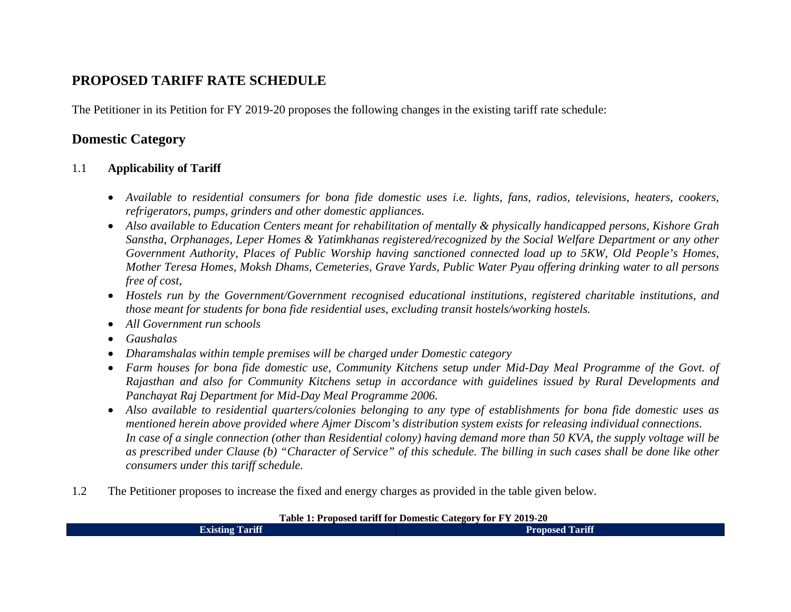## **PROPOSED TARIFF RATE SCHEDULE**

The Petitioner in its Petition for FY 2019-20 proposes the following changes in the existing tariff rate schedule:

## **Domestic Category**

#### 1.1**Applicability of Tariff**

- *Available to residential consumers for bona fide domestic uses i.e. lights, fans, radios, televisions, heaters, cookers, refrigerators, pumps, grinders and other domestic appliances.*
- *Also available to Education Centers meant for rehabilitation of mentally & physically handicapped persons, Kishore Grah Sanstha, Orphanages, Leper Homes & Yatimkhanas registered/recognized by the Social Welfare Department or any other Government Authority, Places of Public Worship having sanctioned connected load up to 5KW, Old People's Homes, Mother Teresa Homes, Moksh Dhams, Cemeteries, Grave Yards, Public Water Pyau offering drinking water to all persons free of cost,*
- *Hostels run by the Government/Government recognised educational institutions, registered charitable institutions, and those meant for students for bona fide residential uses, excluding transit hostels/working hostels.*
- *All Government run schools*
- •*Gaushalas*
- *Dharamshalas within temple premises will be charged under Domestic category*
- *Farm houses for bona fide domestic use, Community Kitchens setup under Mid-Day Meal Programme of the Govt. of Rajasthan and also for Community Kitchens setup in accordance with guidelines issued by Rural Developments and Panchayat Raj Department for Mid-Day Meal Programme 2006.*
- Also available to residential quarters/colonies belonging to any type of establishments for bona fide domestic uses as *mentioned herein above provided where Ajmer Discom's distribution system exists for releasing individual connections. In case of a single connection (other than Residential colony) having demand more than 50 KVA, the supply voltage will be as prescribed under Clause (b) "Character of Service" of this schedule. The billing in such cases shall be done like other consumers under this tariff schedule.*
- 1.2The Petitioner proposes to increase the fixed and energy charges as provided in the table given below.

**Table 1: Proposed tariff for Domestic Category for FY 2019-20** 

| .                      | -------                |
|------------------------|------------------------|
| <b>Existing Tariff</b> | <b>Proposed Tariff</b> |
|                        |                        |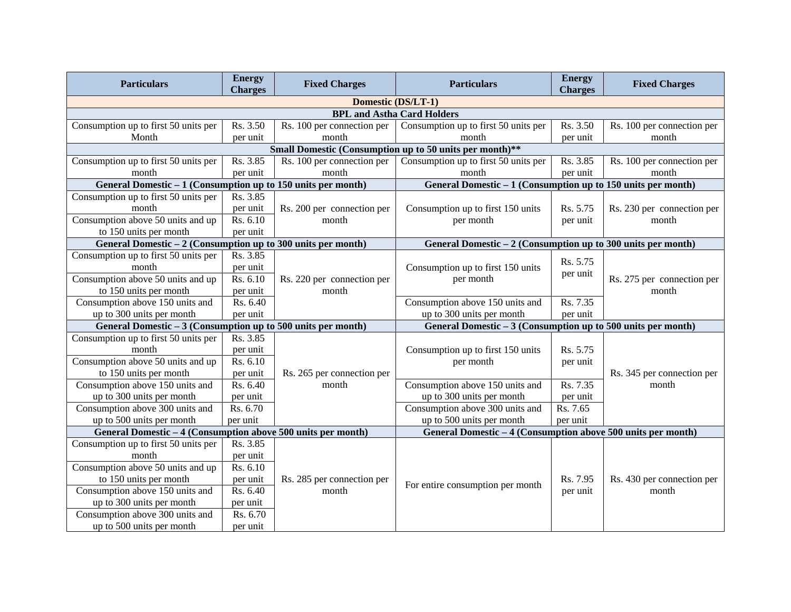| <b>Particulars</b>                                            | <b>Energy</b><br><b>Charges</b> | <b>Fixed Charges</b>                | <b>Particulars</b>                                            | <b>Energy</b><br><b>Charges</b> | <b>Fixed Charges</b>       |
|---------------------------------------------------------------|---------------------------------|-------------------------------------|---------------------------------------------------------------|---------------------------------|----------------------------|
|                                                               |                                 |                                     | Domestic (DS/LT-1)                                            |                                 |                            |
|                                                               |                                 |                                     | <b>BPL and Astha Card Holders</b>                             |                                 |                            |
| Consumption up to first 50 units per                          | Rs. 3.50                        | Rs. 100 per connection per          | Consumption up to first 50 units per                          | Rs. 3.50                        | Rs. 100 per connection per |
| Month                                                         | per unit                        | month                               | month                                                         | per unit                        | month                      |
|                                                               |                                 |                                     | Small Domestic (Consumption up to 50 units per month)**       |                                 |                            |
| Consumption up to first 50 units per                          | Rs. 3.85                        | Rs. 100 per connection per          | Consumption up to first 50 units per                          | Rs. 3.85                        | Rs. 100 per connection per |
| month                                                         | per unit                        | month                               | month                                                         | per unit                        | month                      |
| General Domestic - 1 (Consumption up to 150 units per month)  |                                 |                                     | General Domestic - 1 (Consumption up to 150 units per month)  |                                 |                            |
| Consumption up to first 50 units per                          | Rs. 3.85                        |                                     |                                                               |                                 |                            |
| month                                                         | per unit                        | Rs. 200 per connection per          | Consumption up to first 150 units                             | Rs. 5.75                        | Rs. 230 per connection per |
| Consumption above 50 units and up                             | Rs. 6.10                        | month                               | per month                                                     | per unit                        | month                      |
| to 150 units per month                                        | per unit                        |                                     |                                                               |                                 |                            |
| General Domestic $-2$ (Consumption up to 300 units per month) |                                 |                                     | General Domestic $-2$ (Consumption up to 300 units per month) |                                 |                            |
| Consumption up to first 50 units per                          | Rs. 3.85                        |                                     |                                                               | Rs. 5.75                        |                            |
| month                                                         | per unit                        |                                     | Consumption up to first 150 units                             | per unit                        |                            |
| Consumption above 50 units and up                             | Rs. 6.10                        | Rs. 220 per connection per          | per month                                                     |                                 | Rs. 275 per connection per |
| to 150 units per month                                        | per unit                        | month                               |                                                               |                                 | month                      |
| Consumption above 150 units and                               | Rs. 6.40                        |                                     | Consumption above 150 units and                               | Rs. 7.35                        |                            |
| up to 300 units per month                                     | per unit                        |                                     | up to 300 units per month                                     | per unit                        |                            |
| General Domestic $-3$ (Consumption up to 500 units per month) |                                 |                                     | General Domestic $-3$ (Consumption up to 500 units per month) |                                 |                            |
| Consumption up to first 50 units per                          | Rs. 3.85                        |                                     |                                                               |                                 |                            |
| month                                                         | per unit                        |                                     | Consumption up to first 150 units                             | Rs. 5.75                        |                            |
| Consumption above 50 units and up                             | Rs. 6.10                        |                                     | per month                                                     | per unit                        |                            |
| to 150 units per month                                        | per unit                        | Rs. 265 per connection per          |                                                               |                                 | Rs. 345 per connection per |
| Consumption above 150 units and                               | Rs. 6.40                        | month                               | Consumption above 150 units and                               | Rs. 7.35                        | month                      |
| up to 300 units per month                                     | per unit                        |                                     | up to 300 units per month                                     | per unit                        |                            |
| Consumption above 300 units and                               | Rs. 6.70                        |                                     | Consumption above 300 units and                               | Rs. 7.65                        |                            |
| up to 500 units per month                                     | per unit                        |                                     | up to 500 units per month                                     | per unit                        |                            |
| General Domestic - 4 (Consumption above 500 units per month)  |                                 |                                     | General Domestic - 4 (Consumption above 500 units per month)  |                                 |                            |
| Consumption up to first 50 units per                          | Rs. 3.85                        |                                     |                                                               |                                 |                            |
| month                                                         | per unit                        |                                     |                                                               |                                 |                            |
| Consumption above 50 units and up                             | Rs. 6.10                        |                                     |                                                               |                                 |                            |
| to 150 units per month                                        | per unit                        | Rs. 285 per connection per<br>month | For entire consumption per month                              | Rs. 7.95                        | Rs. 430 per connection per |
| Consumption above 150 units and<br>up to 300 units per month  | Rs. 6.40                        |                                     |                                                               | per unit                        | month                      |
| Consumption above 300 units and                               | per unit<br>Rs. 6.70            |                                     |                                                               |                                 |                            |
| up to 500 units per month                                     | per unit                        |                                     |                                                               |                                 |                            |
|                                                               |                                 |                                     |                                                               |                                 |                            |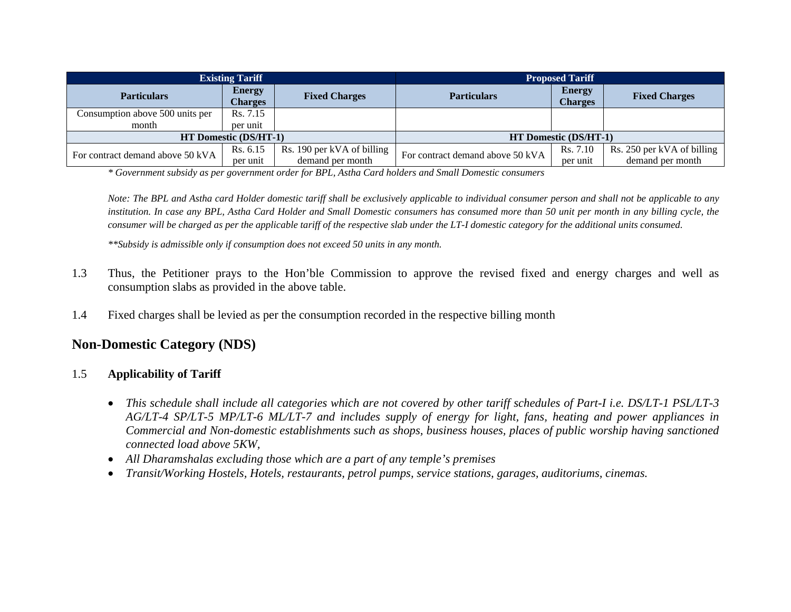| <b>Existing Tariff</b>           |                                 |                            | <b>Proposed Tariff</b>           |                                 |                            |
|----------------------------------|---------------------------------|----------------------------|----------------------------------|---------------------------------|----------------------------|
| <b>Particulars</b>               | <b>Energy</b><br><b>Charges</b> | <b>Fixed Charges</b>       | <b>Particulars</b>               | <b>Energy</b><br><b>Charges</b> | <b>Fixed Charges</b>       |
| Consumption above 500 units per  | Rs. 7.15                        |                            |                                  |                                 |                            |
| month                            | per unit                        |                            |                                  |                                 |                            |
| <b>HT Domestic (DS/HT-1)</b>     |                                 |                            | <b>HT Domestic (DS/HT-1)</b>     |                                 |                            |
| For contract demand above 50 kVA | Rs. 6.15                        | Rs. 190 per kVA of billing | For contract demand above 50 kVA | Rs. 7.10                        | Rs. 250 per kVA of billing |
|                                  | per unit                        | demand per month           |                                  | per unit                        | demand per month           |

*\* Government subsidy as per government order for BPL, Astha Card holders and Small Domestic consumers* 

*Note: The BPL and Astha card Holder domestic tariff shall be exclusively applicable to individual consumer person and shall not be applicable to any institution. In case any BPL, Astha Card Holder and Small Domestic consumers has consumed more than 50 unit per month in any billing cycle, the consumer will be charged as per the applicable tariff of the respective slab under the LT-I domestic category for the additional units consumed.* 

*\*\*Subsidy is admissible only if consumption does not exceed 50 units in any month.* 

- 1.3 Thus, the Petitioner prays to the Hon'ble Commission to approve the revised fixed and energy charges and well as consumption slabs as provided in the above table.
- 1.4Fixed charges shall be levied as per the consumption recorded in the respective billing month

### **Non-Domestic Category (NDS)**

#### 1.5**Applicability of Tariff**

- *This schedule shall include all categories which are not covered by other tariff schedules of Part-I i.e. DS/LT-1 PSL/LT-3 AG/LT-4 SP/LT-5 MP/LT-6 ML/LT-7 and includes supply of energy for light, fans, heating and power appliances in Commercial and Non-domestic establishments such as shops, business houses, places of public worship having sanctioned connected load above 5KW,*
- *All Dharamshalas excluding those which are a part of any temple's premises*
- •*Transit/Working Hostels, Hotels, restaurants, petrol pumps, service stations, garages, auditoriums, cinemas.*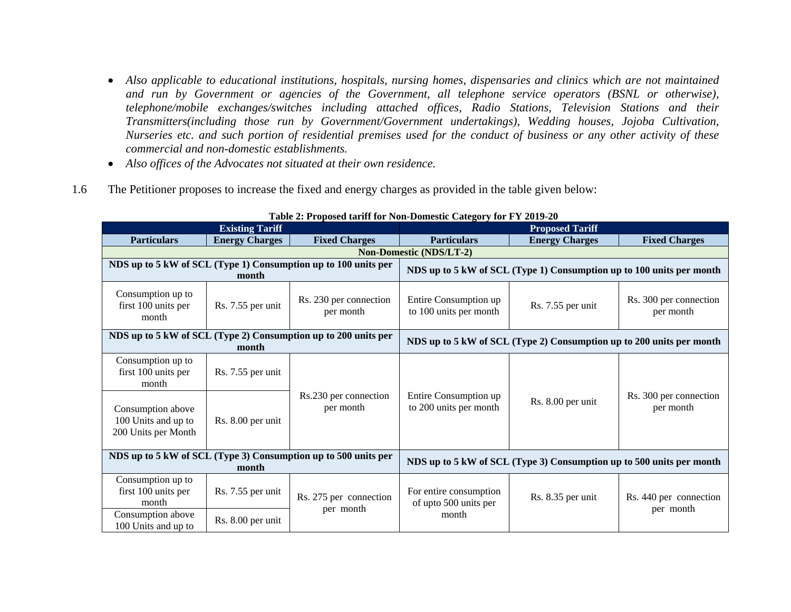- *Also applicable to educational institutions, hospitals, nursing homes, dispensaries and clinics which are not maintained and run by Government or agencies of the Government, all telephone service operators (BSNL or otherwise), telephone/mobile exchanges/switches including attached offices, Radio Stations, Television Stations and their Transmitters(including those run by Government/Government undertakings), Wedding houses, Jojoba Cultivation, Nurseries etc. and such portion of residential premises used for the conduct of business or any other activity of these commercial and non-domestic establishments.*
- *Also offices of the Advocates not situated at their own residence.*
- 1.6The Petitioner proposes to increase the fixed and energy charges as provided in the table given below:

| <b>Existing Tariff</b>                                                  |                       |                                     | Table 2. I reposed tariff for twil-Domestic Category for FT 2017-20<br><b>Proposed Tariff</b> |                                                                      |                                     |                                     |
|-------------------------------------------------------------------------|-----------------------|-------------------------------------|-----------------------------------------------------------------------------------------------|----------------------------------------------------------------------|-------------------------------------|-------------------------------------|
| <b>Particulars</b>                                                      | <b>Energy Charges</b> | <b>Fixed Charges</b>                | <b>Particulars</b>                                                                            | <b>Energy Charges</b>                                                | <b>Fixed Charges</b>                |                                     |
|                                                                         |                       |                                     | <b>Non-Domestic (NDS/LT-2)</b>                                                                |                                                                      |                                     |                                     |
| NDS up to 5 kW of SCL (Type 1) Consumption up to 100 units per<br>month |                       |                                     |                                                                                               | NDS up to 5 kW of SCL (Type 1) Consumption up to 100 units per month |                                     |                                     |
| Consumption up to<br>first 100 units per<br>month                       | Rs. 7.55 per unit     | Rs. 230 per connection<br>per month | Entire Consumption up<br>to 100 units per month                                               | Rs. 7.55 per unit                                                    | Rs. 300 per connection<br>per month |                                     |
| NDS up to 5 kW of SCL (Type 2) Consumption up to 200 units per<br>month |                       |                                     | NDS up to 5 kW of SCL (Type 2) Consumption up to 200 units per month                          |                                                                      |                                     |                                     |
| Consumption up to<br>first 100 units per<br>month                       | Rs. 7.55 per unit     |                                     |                                                                                               |                                                                      |                                     |                                     |
| Consumption above<br>100 Units and up to<br>200 Units per Month         | Rs. 8.00 per unit     | Rs.230 per connection<br>per month  |                                                                                               | Entire Consumption up<br>to 200 units per month                      | Rs. 8.00 per unit                   | Rs. 300 per connection<br>per month |
| NDS up to 5 kW of SCL (Type 3) Consumption up to 500 units per<br>month |                       |                                     |                                                                                               | NDS up to 5 kW of SCL (Type 3) Consumption up to 500 units per month |                                     |                                     |
| Consumption up to<br>first 100 units per<br>month                       | Rs. 7.55 per unit     | Rs. 275 per connection<br>per month | For entire consumption<br>of upto 500 units per                                               | Rs. 8.35 per unit                                                    | Rs. 440 per connection              |                                     |
| Consumption above<br>100 Units and up to                                | Rs. 8.00 per unit     |                                     | month                                                                                         |                                                                      | per month                           |                                     |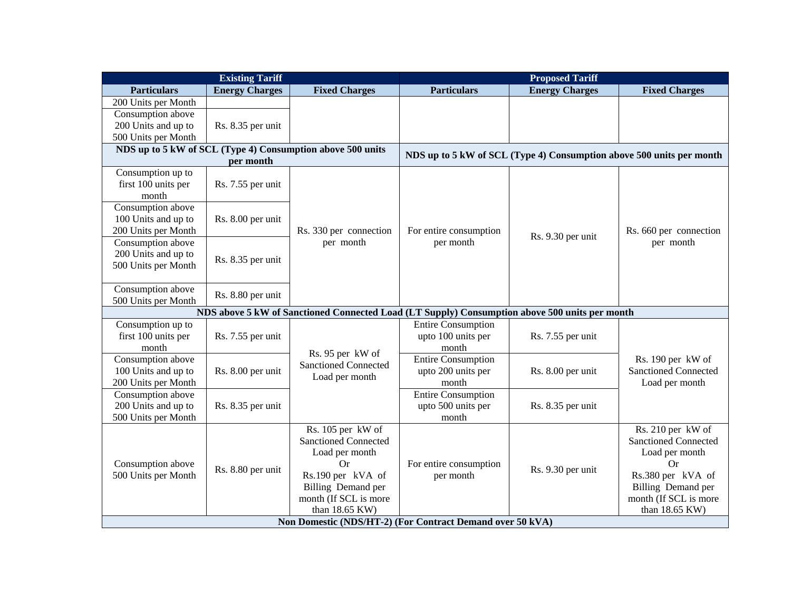| <b>Existing Tariff</b>                   |                       |                                                                                               | <b>Proposed Tariff</b>      |                                                                      |                                                  |
|------------------------------------------|-----------------------|-----------------------------------------------------------------------------------------------|-----------------------------|----------------------------------------------------------------------|--------------------------------------------------|
| <b>Particulars</b>                       | <b>Energy Charges</b> | <b>Fixed Charges</b>                                                                          | <b>Particulars</b>          | <b>Energy Charges</b>                                                | <b>Fixed Charges</b>                             |
| 200 Units per Month                      |                       |                                                                                               |                             |                                                                      |                                                  |
| Consumption above                        |                       |                                                                                               |                             |                                                                      |                                                  |
| 200 Units and up to                      | Rs. 8.35 per unit     |                                                                                               |                             |                                                                      |                                                  |
| 500 Units per Month                      |                       |                                                                                               |                             |                                                                      |                                                  |
|                                          |                       | NDS up to 5 kW of SCL (Type 4) Consumption above 500 units                                    |                             | NDS up to 5 kW of SCL (Type 4) Consumption above 500 units per month |                                                  |
|                                          | per month             |                                                                                               |                             |                                                                      |                                                  |
| Consumption up to                        |                       |                                                                                               |                             |                                                                      |                                                  |
| first 100 units per                      | Rs. 7.55 per unit     |                                                                                               |                             |                                                                      |                                                  |
| month                                    |                       |                                                                                               |                             |                                                                      |                                                  |
| Consumption above                        |                       | Rs. 330 per connection<br>per month                                                           |                             |                                                                      |                                                  |
| 100 Units and up to                      | Rs. 8.00 per unit     |                                                                                               |                             |                                                                      |                                                  |
| 200 Units per Month                      |                       |                                                                                               | For entire consumption      | Rs. 9.30 per unit                                                    | Rs. 660 per connection                           |
| Consumption above                        |                       |                                                                                               | per month                   |                                                                      | per month                                        |
| 200 Units and up to                      | Rs. 8.35 per unit     |                                                                                               |                             |                                                                      |                                                  |
| 500 Units per Month                      |                       |                                                                                               |                             |                                                                      |                                                  |
|                                          |                       |                                                                                               |                             |                                                                      |                                                  |
| Consumption above                        | Rs. 8.80 per unit     |                                                                                               |                             |                                                                      |                                                  |
| 500 Units per Month                      |                       |                                                                                               |                             |                                                                      |                                                  |
|                                          |                       | NDS above 5 kW of Sanctioned Connected Load (LT Supply) Consumption above 500 units per month |                             |                                                                      |                                                  |
| Consumption up to                        |                       |                                                                                               | <b>Entire Consumption</b>   |                                                                      |                                                  |
| first 100 units per                      | Rs. 7.55 per unit     |                                                                                               | upto 100 units per          | Rs. 7.55 per unit                                                    |                                                  |
| month                                    |                       | Rs. 95 per kW of                                                                              | month                       |                                                                      |                                                  |
| Consumption above                        |                       | <b>Sanctioned Connected</b>                                                                   | <b>Entire Consumption</b>   |                                                                      | Rs. 190 per kW of<br><b>Sanctioned Connected</b> |
| 100 Units and up to                      | Rs. 8.00 per unit     | Load per month                                                                                | upto 200 units per<br>month | Rs. 8.00 per unit                                                    |                                                  |
| 200 Units per Month<br>Consumption above |                       |                                                                                               | <b>Entire Consumption</b>   |                                                                      | Load per month                                   |
| 200 Units and up to                      | Rs. 8.35 per unit     |                                                                                               | upto 500 units per          | Rs. 8.35 per unit                                                    |                                                  |
| 500 Units per Month                      |                       |                                                                                               | month                       |                                                                      |                                                  |
|                                          |                       | Rs. 105 per kW of                                                                             |                             |                                                                      | Rs. 210 per kW of                                |
|                                          |                       | <b>Sanctioned Connected</b>                                                                   |                             |                                                                      | <b>Sanctioned Connected</b>                      |
|                                          |                       | Load per month                                                                                |                             |                                                                      | Load per month                                   |
| Consumption above                        |                       | Or                                                                                            | For entire consumption      |                                                                      | Or                                               |
| 500 Units per Month                      | Rs. 8.80 per unit     | Rs.190 per kVA of                                                                             | per month                   | Rs. 9.30 per unit                                                    | Rs.380 per kVA of                                |
|                                          |                       | Billing Demand per                                                                            |                             |                                                                      | Billing Demand per                               |
|                                          |                       | month (If SCL is more                                                                         |                             |                                                                      | month (If SCL is more                            |
|                                          |                       | than 18.65 KW)                                                                                |                             |                                                                      | than 18.65 KW)                                   |
|                                          |                       | Non Domestic (NDS/HT-2) (For Contract Demand over 50 kVA)                                     |                             |                                                                      |                                                  |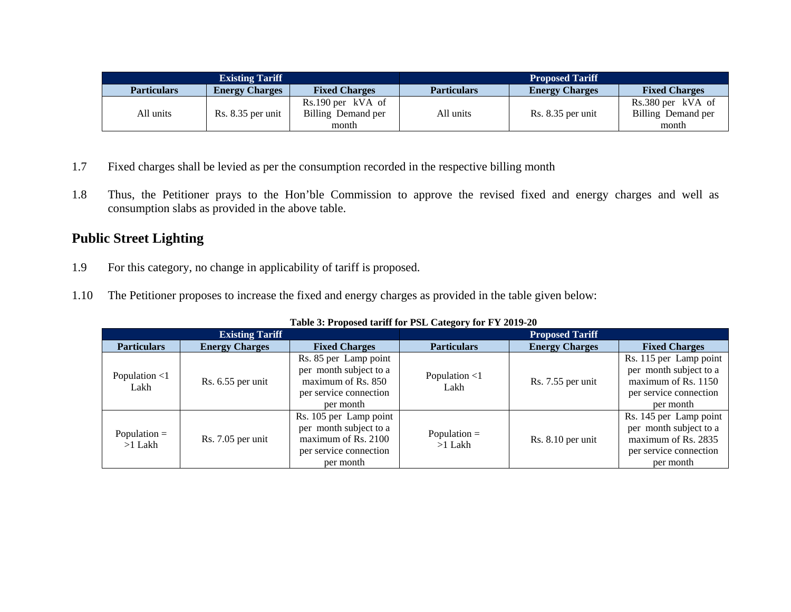| <b>Existing Tariff</b> |                       |                       | <b>Proposed Tariff</b> |                       |                      |
|------------------------|-----------------------|-----------------------|------------------------|-----------------------|----------------------|
| <b>Particulars</b>     | <b>Energy Charges</b> | <b>Fixed Charges</b>  | <b>Particulars</b>     | <b>Energy Charges</b> | <b>Fixed Charges</b> |
|                        |                       | $Rs.190$ per $kVA$ of |                        |                       | Rs.380 per kVA of    |
| All units              | Rs. 8.35 per unit     | Billing Demand per    | All units              | Rs. 8.35 per unit     | Billing Demand per   |
|                        |                       | month                 |                        |                       | month                |

- 1.7Fixed charges shall be levied as per the consumption recorded in the respective billing month
- 1.8 Thus, the Petitioner prays to the Hon'ble Commission to approve the revised fixed and energy charges and well as consumption slabs as provided in the above table.

# **Public Street Lighting**

- 1.9For this category, no change in applicability of tariff is proposed.
- 1.10The Petitioner proposes to increase the fixed and energy charges as provided in the table given below:

| TWO IS THE POSSES WITH THE FOLL CHANGED TO THE HUID TO |                       |                                                                                                                |                             |                       |                                                                                                                  |  |  |
|--------------------------------------------------------|-----------------------|----------------------------------------------------------------------------------------------------------------|-----------------------------|-----------------------|------------------------------------------------------------------------------------------------------------------|--|--|
| <b>Existing Tariff</b>                                 |                       |                                                                                                                | <b>Proposed Tariff</b>      |                       |                                                                                                                  |  |  |
| <b>Particulars</b>                                     | <b>Energy Charges</b> | <b>Fixed Charges</b>                                                                                           | <b>Particulars</b>          | <b>Energy Charges</b> | <b>Fixed Charges</b>                                                                                             |  |  |
| Population $<$ 1<br>Lakh                               | $Rs. 6.55$ per unit   | Rs. 85 per Lamp point<br>per month subject to a<br>maximum of Rs. 850<br>per service connection<br>per month   | Population $<$ 1<br>Lakh    | $Rs. 7.55$ per unit   | Rs. 115 per Lamp point<br>per month subject to a<br>maximum of Rs. $1150$<br>per service connection<br>per month |  |  |
| Population $=$<br>$>1$ Lakh                            | $Rs. 7.05$ per unit   | Rs. 105 per Lamp point<br>per month subject to a<br>maximum of Rs. 2100<br>per service connection<br>per month | Population $=$<br>$>1$ Lakh | $Rs. 8.10$ per unit   | Rs. 145 per Lamp point<br>per month subject to a<br>maximum of Rs. 2835<br>per service connection<br>per month   |  |  |

|  | Table 3: Proposed tariff for PSL Category for FY 2019-20 |
|--|----------------------------------------------------------|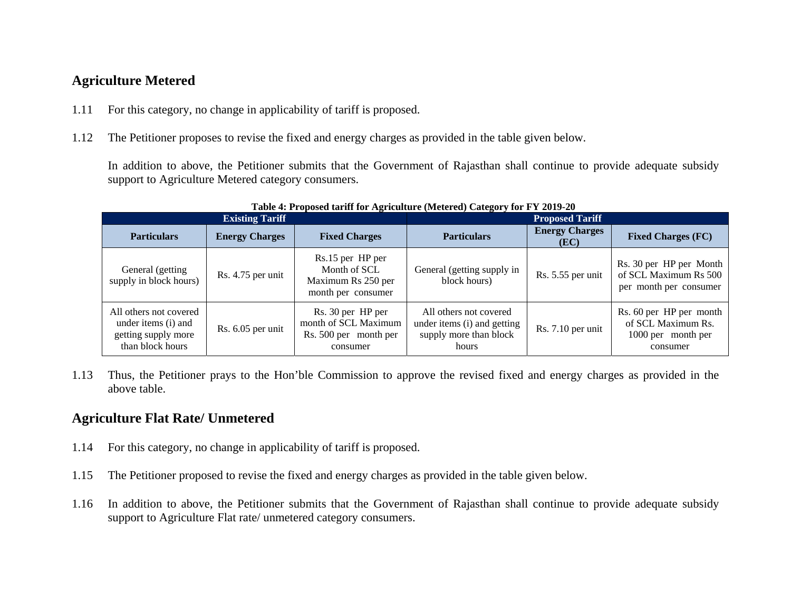## **Agriculture Metered**

- 1.11For this category, no change in applicability of tariff is proposed.
- 1.12The Petitioner proposes to revise the fixed and energy charges as provided in the table given below.

In addition to above, the Petitioner submits that the Government of Rajasthan shall continue to provide adequate subsidy support to Agriculture Metered category consumers.

| <b>Existing Tariff</b>                                                                   |                       |                                                                                | <b>Proposed Tariff</b>                                                                   |                               |                                                                                 |
|------------------------------------------------------------------------------------------|-----------------------|--------------------------------------------------------------------------------|------------------------------------------------------------------------------------------|-------------------------------|---------------------------------------------------------------------------------|
| <b>Particulars</b>                                                                       | <b>Energy Charges</b> | <b>Fixed Charges</b>                                                           | <b>Particulars</b>                                                                       | <b>Energy Charges</b><br>(EC) | <b>Fixed Charges (FC)</b>                                                       |
| General (getting<br>supply in block hours)                                               | Rs. 4.75 per unit     | Rs.15 per HP per<br>Month of SCL<br>Maximum Rs 250 per<br>month per consumer   | General (getting supply in<br>block hours)                                               | Rs. 5.55 per unit             | Rs. 30 per HP per Month<br>of SCL Maximum Rs 500<br>per month per consumer      |
| All others not covered<br>under items (i) and<br>getting supply more<br>than block hours | Rs. 6.05 per unit     | Rs. 30 per HP per<br>month of SCL Maximum<br>Rs. 500 per month per<br>consumer | All others not covered<br>under items (i) and getting<br>supply more than block<br>hours | Rs. 7.10 per unit             | Rs. 60 per HP per month<br>of SCL Maximum Rs.<br>1000 per month per<br>consumer |

**Table 4: Proposed tariff for Agriculture (Metered) Category for FY 2019-20** 

1.13 Thus, the Petitioner prays to the Hon'ble Commission to approve the revised fixed and energy charges as provided in the above table.

## **Agriculture Flat Rate/ Unmetered**

- 1.14For this category, no change in applicability of tariff is proposed.
- 1.15The Petitioner proposed to revise the fixed and energy charges as provided in the table given below.
- 1.16 In addition to above, the Petitioner submits that the Government of Rajasthan shall continue to provide adequate subsidy support to Agriculture Flat rate/ unmetered category consumers.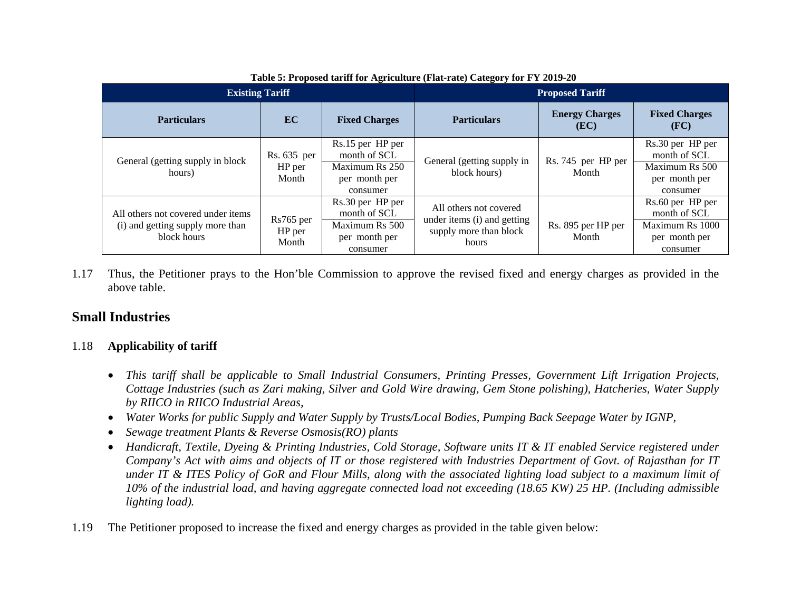| <b>Existing Tariff</b>                          |                     |                                  | <b>Proposed Tariff</b>                                |                               |                                  |
|-------------------------------------------------|---------------------|----------------------------------|-------------------------------------------------------|-------------------------------|----------------------------------|
| <b>Particulars</b>                              | EC                  | <b>Fixed Charges</b>             | <b>Particulars</b>                                    | <b>Energy Charges</b><br>(EC) | <b>Fixed Charges</b><br>(FC)     |
|                                                 | Rs. 635 per         | Rs.15 per HP per<br>month of SCL |                                                       |                               | Rs.30 per HP per<br>month of SCL |
| General (getting supply in block<br>hours)      | HP per<br>Month     | Maximum Rs 250                   | General (getting supply in<br>block hours)            | Rs. 745 per HP per<br>Month   | Maximum Rs 500                   |
|                                                 |                     | per month per<br>consumer        |                                                       |                               | per month per<br>consumer        |
| All others not covered under items              |                     | Rs.30 per HP per<br>month of SCL | All others not covered                                |                               | Rs.60 per HP per<br>month of SCL |
| (i) and getting supply more than<br>block hours | Rs765 per<br>HP per | Maximum Rs 500                   | under items (i) and getting<br>supply more than block | Rs. 895 per HP per<br>Month   | Maximum Rs 1000                  |
|                                                 | Month               | per month per                    | hours                                                 |                               | per month per                    |
|                                                 |                     | consumer                         |                                                       |                               | consumer                         |

**Table 5: Proposed tariff for Agriculture (Flat-rate) Category for FY 2019-20** 

1.17 Thus, the Petitioner prays to the Hon'ble Commission to approve the revised fixed and energy charges as provided in the above table.

## **Small Industries**

#### 1.18**Applicability of tariff**

- *This tariff shall be applicable to Small Industrial Consumers, Printing Presses, Government Lift Irrigation Projects, Cottage Industries (such as Zari making, Silver and Gold Wire drawing, Gem Stone polishing), Hatcheries, Water Supply by RIICO in RIICO Industrial Areas,*
- *Water Works for public Supply and Water Supply by Trusts/Local Bodies, Pumping Back Seepage Water by IGNP,*
- *Sewage treatment Plants & Reverse Osmosis(RO) plants*
- *Handicraft, Textile, Dyeing & Printing Industries, Cold Storage, Software units IT & IT enabled Service registered under Company's Act with aims and objects of IT or those registered with Industries Department of Govt. of Rajasthan for IT under IT & ITES Policy of GoR and Flour Mills, along with the associated lighting load subject to a maximum limit of 10% of the industrial load, and having aggregate connected load not exceeding (18.65 KW) 25 HP. (Including admissible lighting load).*
- 1.19The Petitioner proposed to increase the fixed and energy charges as provided in the table given below: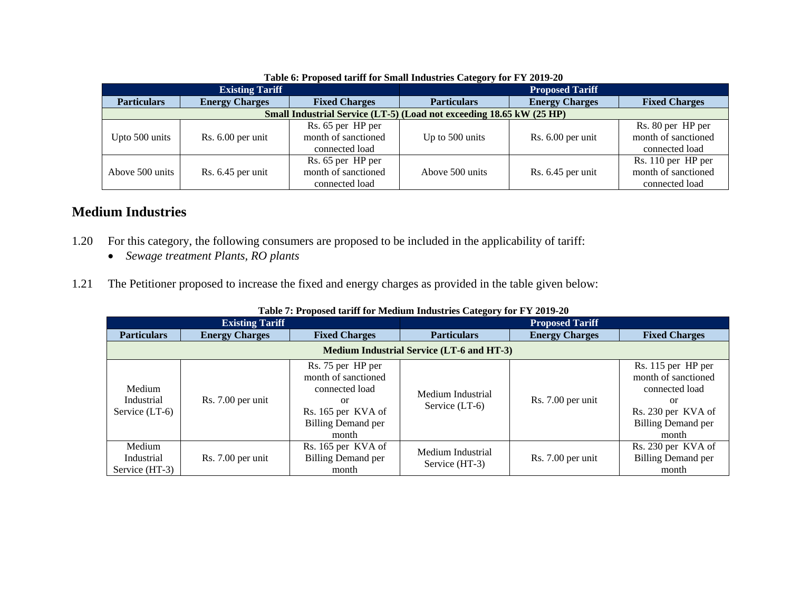|                                                                      | Tubic of I reposed them for small manshed category for I I form |                      |                        |                       |                      |  |  |
|----------------------------------------------------------------------|-----------------------------------------------------------------|----------------------|------------------------|-----------------------|----------------------|--|--|
| <b>Existing Tariff</b>                                               |                                                                 |                      | <b>Proposed Tariff</b> |                       |                      |  |  |
| <b>Particulars</b>                                                   | <b>Energy Charges</b>                                           | <b>Fixed Charges</b> | <b>Particulars</b>     | <b>Energy Charges</b> | <b>Fixed Charges</b> |  |  |
| Small Industrial Service (LT-5) (Load not exceeding 18.65 kW (25 HP) |                                                                 |                      |                        |                       |                      |  |  |
|                                                                      |                                                                 | Rs. 65 per HP per    |                        |                       | Rs. 80 per HP per    |  |  |
| Upto 500 units                                                       | Rs. 6.00 per unit                                               | month of sanctioned  | Up to 500 units        | Rs. 6.00 per unit     | month of sanctioned  |  |  |
|                                                                      |                                                                 | connected load       |                        |                       | connected load       |  |  |
|                                                                      |                                                                 | Rs. 65 per HP per    |                        |                       | Rs. 110 per HP per   |  |  |
| Above 500 units                                                      | Rs. 6.45 per unit                                               | month of sanctioned  | Above 500 units        | Rs. 6.45 per unit     | month of sanctioned  |  |  |
|                                                                      |                                                                 | connected load       |                        |                       | connected load       |  |  |

#### **Table 6: Proposed tariff for Small Industries Category for FY 2019-20**

### **Medium Industries**

- 1.20 For this category, the following consumers are proposed to be included in the applicability of tariff:
	- *Sewage treatment Plants, RO plants*
- 1.21The Petitioner proposed to increase the fixed and energy charges as provided in the table given below:

| <b>Existing Tariff</b>                           |                       |                                                                                                                              | <b>Proposed Tariff</b>                |                       |                                                                                                                               |  |
|--------------------------------------------------|-----------------------|------------------------------------------------------------------------------------------------------------------------------|---------------------------------------|-----------------------|-------------------------------------------------------------------------------------------------------------------------------|--|
| <b>Particulars</b>                               | <b>Energy Charges</b> | <b>Fixed Charges</b>                                                                                                         | <b>Particulars</b>                    | <b>Energy Charges</b> | <b>Fixed Charges</b>                                                                                                          |  |
| <b>Medium Industrial Service (LT-6 and HT-3)</b> |                       |                                                                                                                              |                                       |                       |                                                                                                                               |  |
| Medium<br>Industrial<br>Service (LT-6)           | Rs. 7.00 per unit     | Rs. 75 per HP per<br>month of sanctioned<br>connected load<br>or<br>Rs. 165 per KVA of<br><b>Billing Demand per</b><br>month | Medium Industrial<br>Service $(LT-6)$ | Rs. 7.00 per unit     | Rs. 115 per HP per<br>month of sanctioned<br>connected load<br>or<br>Rs. 230 per KVA of<br><b>Billing Demand per</b><br>month |  |
| Medium<br>Industrial<br>Service (HT-3)           | Rs. 7.00 per unit     | Rs. 165 per KVA of<br><b>Billing Demand per</b><br>month                                                                     | Medium Industrial<br>Service (HT-3)   | Rs. 7.00 per unit     | Rs. 230 per KVA of<br><b>Billing Demand per</b><br>month                                                                      |  |

#### **Table 7: Proposed tariff for Medium Industries Category for FY 2019-20**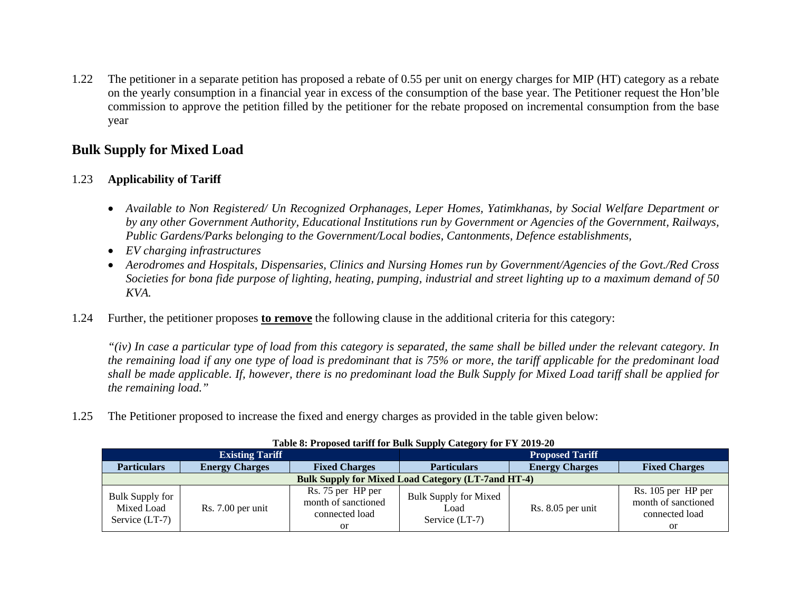1.22 The petitioner in a separate petition has proposed a rebate of 0.55 per unit on energy charges for MIP (HT) category as a rebate on the yearly consumption in a financial year in excess of the consumption of the base year. The Petitioner request the Hon'ble commission to approve the petition filled by the petitioner for the rebate proposed on incremental consumption from the base year

### **Bulk Supply for Mixed Load**

#### 1.23**Applicability of Tariff**

- *Available to Non Registered/ Un Recognized Orphanages, Leper Homes, Yatimkhanas, by Social Welfare Department or by any other Government Authority, Educational Institutions run by Government or Agencies of the Government, Railways, Public Gardens/Parks belonging to the Government/Local bodies, Cantonments, Defence establishments,*
- *EV charging infrastructures*
- *Aerodromes and Hospitals, Dispensaries, Clinics and Nursing Homes run by Government/Agencies of the Govt./Red Cross Societies for bona fide purpose of lighting, heating, pumping, industrial and street lighting up to a maximum demand of 50 KVA.*
- 1.24Further, the petitioner proposes **to remove** the following clause in the additional criteria for this category:

*"(iv) In case a particular type of load from this category is separated, the same shall be billed under the relevant category. In the remaining load if any one type of load is predominant that is 75% or more, the tariff applicable for the predominant load shall be made applicable. If, however, there is no predominant load the Bulk Supply for Mixed Load tariff shall be applied for the remaining load."* 

1.25The Petitioner proposed to increase the fixed and energy charges as provided in the table given below:

| <b>Existing Tariff</b>                                    |                       |                                                                             | .<br><b>Proposed Tariff</b>                              |                       |                                                                          |
|-----------------------------------------------------------|-----------------------|-----------------------------------------------------------------------------|----------------------------------------------------------|-----------------------|--------------------------------------------------------------------------|
| <b>Particulars</b>                                        | <b>Energy Charges</b> | <b>Fixed Charges</b>                                                        | <b>Particulars</b>                                       | <b>Energy Charges</b> | <b>Fixed Charges</b>                                                     |
| <b>Bulk Supply for Mixed Load Category (LT-7and HT-4)</b> |                       |                                                                             |                                                          |                       |                                                                          |
| <b>Bulk Supply for</b><br>Mixed Load<br>Service $(LT-7)$  | Rs. 7.00 per unit     | Rs. 75 per HP per<br>month of sanctioned<br>connected load<br><sub>or</sub> | <b>Bulk Supply for Mixed</b><br>Load<br>Service $(LT-7)$ | Rs. 8.05 per unit     | Rs. 105 per HP per<br>month of sanctioned<br>connected load<br><b>or</b> |

#### **Table 8: Proposed tariff for Bulk Supply Category for FY 2019-20**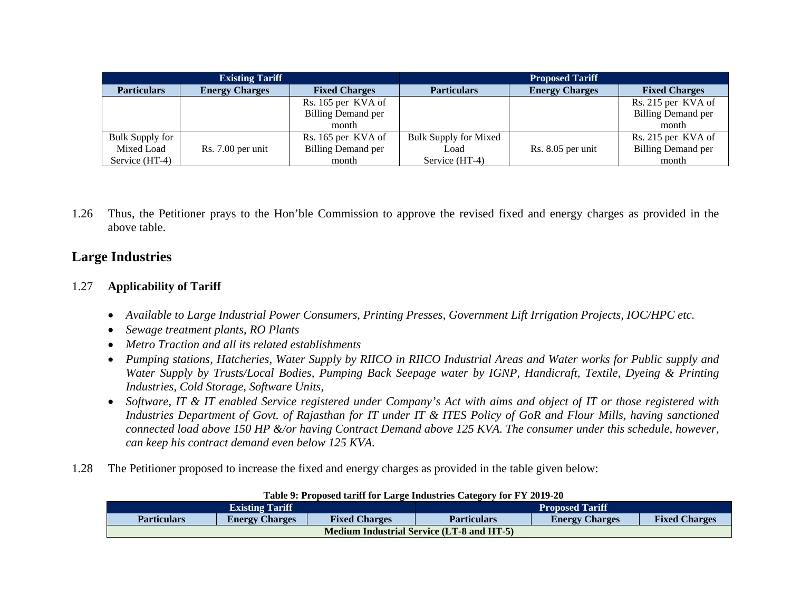| <b>Existing Tariff</b> |                       |                           | <b>Proposed Tariff</b>       |                       |                           |
|------------------------|-----------------------|---------------------------|------------------------------|-----------------------|---------------------------|
| <b>Particulars</b>     | <b>Energy Charges</b> | <b>Fixed Charges</b>      | <b>Particulars</b>           | <b>Energy Charges</b> | <b>Fixed Charges</b>      |
|                        |                       | Rs. 165 per KVA of        |                              |                       | Rs. 215 per KVA of        |
|                        |                       | <b>Billing Demand per</b> |                              |                       | <b>Billing Demand per</b> |
|                        |                       | month                     |                              |                       | month                     |
| <b>Bulk Supply for</b> |                       | Rs. 165 per KVA of        | <b>Bulk Supply for Mixed</b> |                       | Rs. 215 per KVA of        |
| Mixed Load             | Rs. 7.00 per unit     | <b>Billing Demand per</b> | Load                         | Rs. 8.05 per unit     | <b>Billing Demand per</b> |
| Service (HT-4)         |                       | month                     | Service (HT-4)               |                       | month                     |

1.26 Thus, the Petitioner prays to the Hon'ble Commission to approve the revised fixed and energy charges as provided in the above table.

## **Large Industries**

#### 1.27**Applicability of Tariff**

- *Available to Large Industrial Power Consumers, Printing Presses, Government Lift Irrigation Projects, IOC/HPC etc.*
- *Sewage treatment plants, RO Plants*
- *Me tro Traction and all its related establishments*
- *Pumping stations, Hatcheries, Water Supply by RIICO in RIICO Industrial Areas and Water works for Public supply and Water Supply by Trusts/Local Bodies, Pumping Back Seepage water by IGNP, Handicraft, Textile, Dyeing & Printing Industries, Cold Storage, Software Units,*
- *Software, IT & IT enabled Service registered under Company's Act with aims and object of IT or those registered with Industries Department of Govt. of Rajasthan for IT under IT & ITES Policy of GoR and Flour Mills, having sanctioned connected load above 150 HP &/or having Contract Demand above 125 KVA. The consumer under this schedule, however, can keep his contract demand even below 125 KVA.*
- 1.28The Petitioner proposed to increase the fixed and energy charges as provided in the table given below:

| Table 9: Proposed tarill for Large moustries Category for F Y 2019-20 |                       |                      |                                                                     |  |  |
|-----------------------------------------------------------------------|-----------------------|----------------------|---------------------------------------------------------------------|--|--|
| <b>Existing Tariff</b><br><b>Proposed Tariff</b>                      |                       |                      |                                                                     |  |  |
| <b>Particulars</b>                                                    | <b>Energy Charges</b> | <b>Fixed Charges</b> | <b>Fixed Charges</b><br><b>Particulars</b><br><b>Energy Charges</b> |  |  |
| <b>Medium Industrial Service (LT-8 and HT-5)</b>                      |                       |                      |                                                                     |  |  |

#### **Table 9: Proposed tariff for Large Industries Category for FY 2019-20**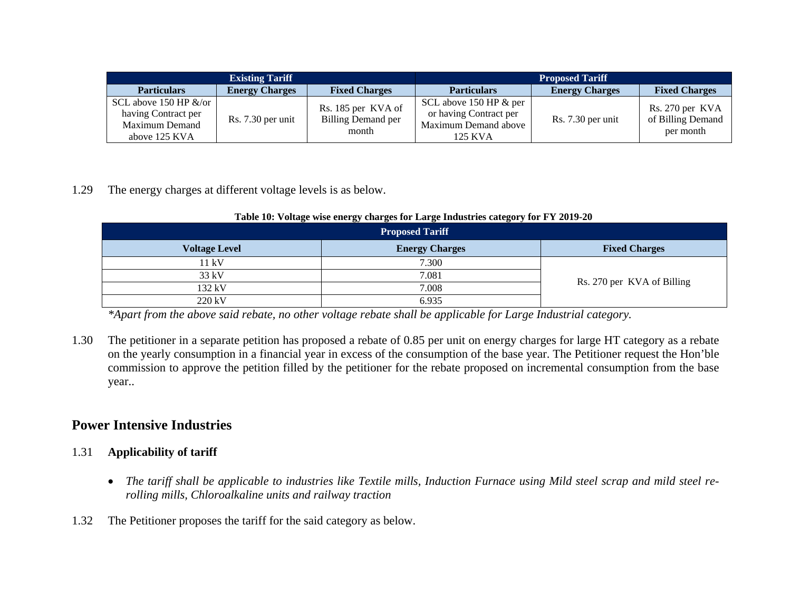| <b>Existing Tariff</b>                                                              |                       |                                                   | <b>Proposed Tariff</b>                                                              |                       |                                                   |
|-------------------------------------------------------------------------------------|-----------------------|---------------------------------------------------|-------------------------------------------------------------------------------------|-----------------------|---------------------------------------------------|
| <b>Particulars</b>                                                                  | <b>Energy Charges</b> | <b>Fixed Charges</b>                              | <b>Particulars</b>                                                                  | <b>Energy Charges</b> | <b>Fixed Charges</b>                              |
| SCL above 150 HP $\&$ /or<br>having Contract per<br>Maximum Demand<br>above 125 KVA | Rs. 7.30 per unit     | Rs. 185 per KVA of<br>Billing Demand per<br>month | SCL above 150 HP & per<br>or having Contract per<br>Maximum Demand above<br>125 KVA | Rs. 7.30 per unit     | Rs. 270 per KVA<br>of Billing Demand<br>per month |

1.29The energy charges at different voltage levels is as below.

| <b>Proposed Tariff</b> |                       |                            |  |  |  |
|------------------------|-----------------------|----------------------------|--|--|--|
| <b>Voltage Level</b>   | <b>Energy Charges</b> | <b>Fixed Charges</b>       |  |  |  |
| 11 kV                  | 7.300                 | Rs. 270 per KVA of Billing |  |  |  |
| 33 kV                  | 7.081                 |                            |  |  |  |
| 132 kV                 | 7.008                 |                            |  |  |  |
| 220 kV                 | 6.935                 |                            |  |  |  |

#### **Table 10: Voltage wise energy charges for Large Industries category for FY 2019-20**

*\*Apart from the above said rebate, no other voltage rebate shall be applicable for Large Industrial category.* 

1.30 The petitioner in a separate petition has proposed a rebate of 0.85 per unit on energy charges for large HT category as a rebate on the yearly consumption in a financial year in excess of the consumption of the base year. The Petitioner request the Hon'ble commission to approve the petition filled by the petitioner for the rebate proposed on incremental consumption from the base year..

# **Power Intensive Industries**

### 1.31 **Applicability of tariff**

- *The tariff shall be applicable to industries like Textile mills, Induction Furnace using Mild steel scrap and mild steel rerolling mills, Chloroalkaline units and railway traction*
- 1.32The Petitioner proposes the tariff for the said category as below.